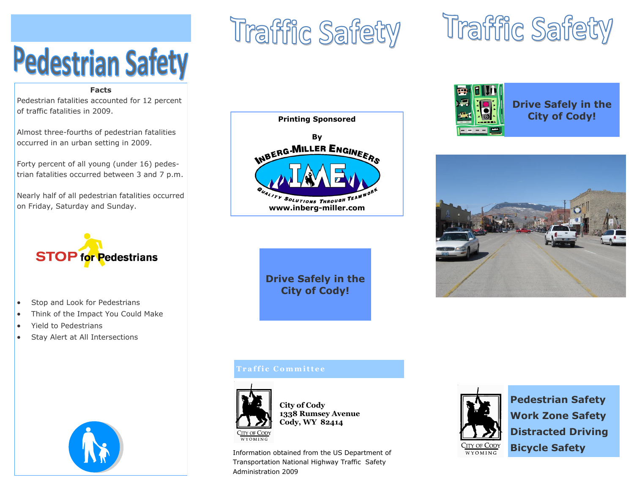# **Pedestrian Safety**

#### **Facts**

Pedestrian fatalities accounted for 12 percent of traffic fatalities in 2009.

Almost three-fourths of pedestrian fatalities occurred in an urban setting in 2009.

Forty percent of all young (under 16) pedestrian fatalities occurred between 3 and 7 p.m.

Nearly half of all pedestrian fatalities occurred on Friday, Saturday and Sunday.



- Stop and Look for Pedestrians
- Think of the Impact You Could Make
- Yield to Pedestrians
- Stay Alert at All Intersections



## Traffic Safety







#### **Printing Sponsored**



**Drive Safely in the City of Cody!**

#### **T r a f f i c C o m m i t t e e**



**City of Cody 1338 Rumsey Avenue Cody, WY 82414**

Information obtained from the US Department of Transportation National Highway Traffic Safety Administration 2009



**Pedestrian Safety Work Zone Safety Distracted Driving Bicycle Safety**